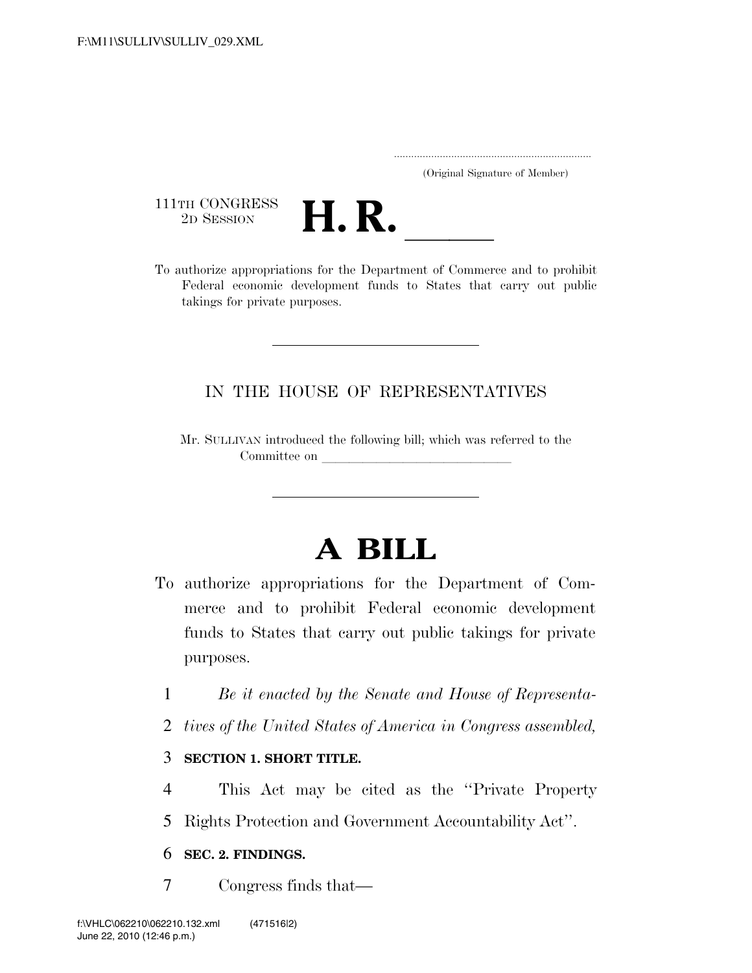..................................................................... (Original Signature of Member)

111TH CONGRESS<br>2D SESSION



THITH CONGRESS<br>
2D SESSION<br>
To authorize appropriations for the Department of Commerce and to prohibit Federal economic development funds to States that carry out public takings for private purposes.

## IN THE HOUSE OF REPRESENTATIVES

Mr. SULLIVAN introduced the following bill; which was referred to the Committee on

# **A BILL**

- To authorize appropriations for the Department of Commerce and to prohibit Federal economic development funds to States that carry out public takings for private purposes.
	- 1 *Be it enacted by the Senate and House of Representa-*
	- 2 *tives of the United States of America in Congress assembled,*

## 3 **SECTION 1. SHORT TITLE.**

- 4 This Act may be cited as the ''Private Property
- 5 Rights Protection and Government Accountability Act''.

## 6 **SEC. 2. FINDINGS.**

7 Congress finds that—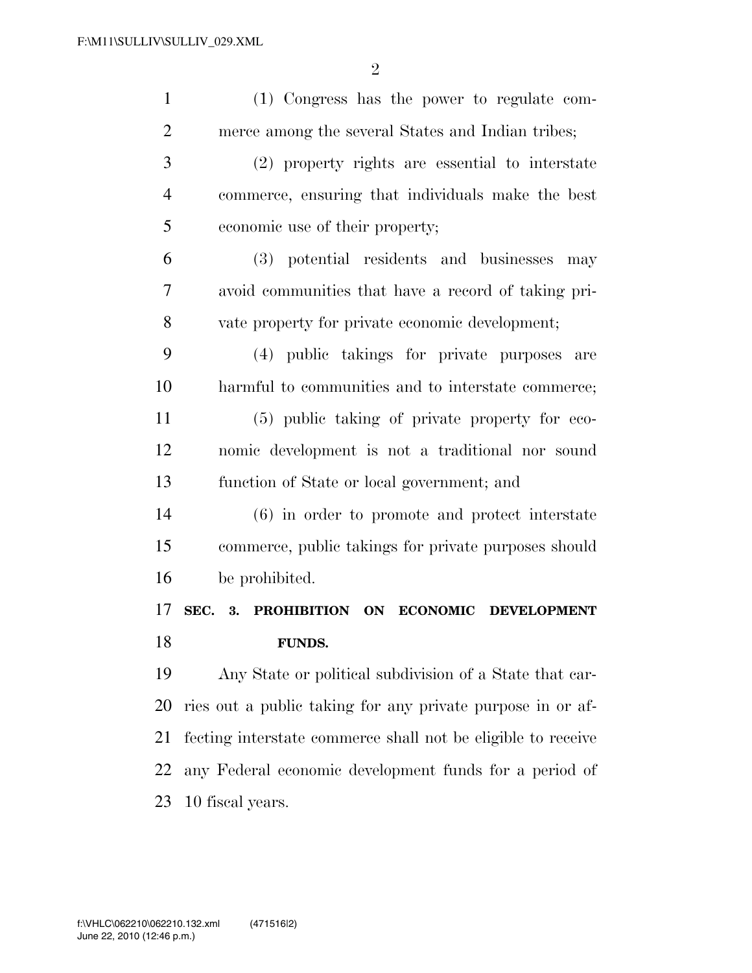| $\mathbf{1}$   | (1) Congress has the power to regulate com-                     |
|----------------|-----------------------------------------------------------------|
| $\overline{2}$ | merce among the several States and Indian tribes;               |
| 3              | (2) property rights are essential to interstate                 |
| $\overline{4}$ | commerce, ensuring that individuals make the best               |
| 5              | economic use of their property;                                 |
| 6              | (3) potential residents and businesses<br>may                   |
| 7              | avoid communities that have a record of taking pri-             |
| 8              | vate property for private economic development;                 |
| 9              | (4) public takings for private purposes<br>are                  |
| 10             | harmful to communities and to interstate commerce;              |
| 11             | (5) public taking of private property for eco-                  |
| 12             | nomic development is not a traditional nor sound                |
| 13             | function of State or local government; and                      |
| 14             | (6) in order to promote and protect interstate                  |
|                |                                                                 |
| 15             | commerce, public takings for private purposes should            |
| 16             | be prohibited.                                                  |
| 17             | SEC. 3. PROHIBITION<br><b>ON ECONOMIC</b><br><b>DEVELOPMENT</b> |
| 18             | <b>FUNDS.</b>                                                   |
| 19             | Any State or political subdivision of a State that car-         |
| 20             | ries out a public taking for any private purpose in or af-      |
| 21             | fecting interstate commerce shall not be eligible to receive    |
| 22             | any Federal economic development funds for a period of          |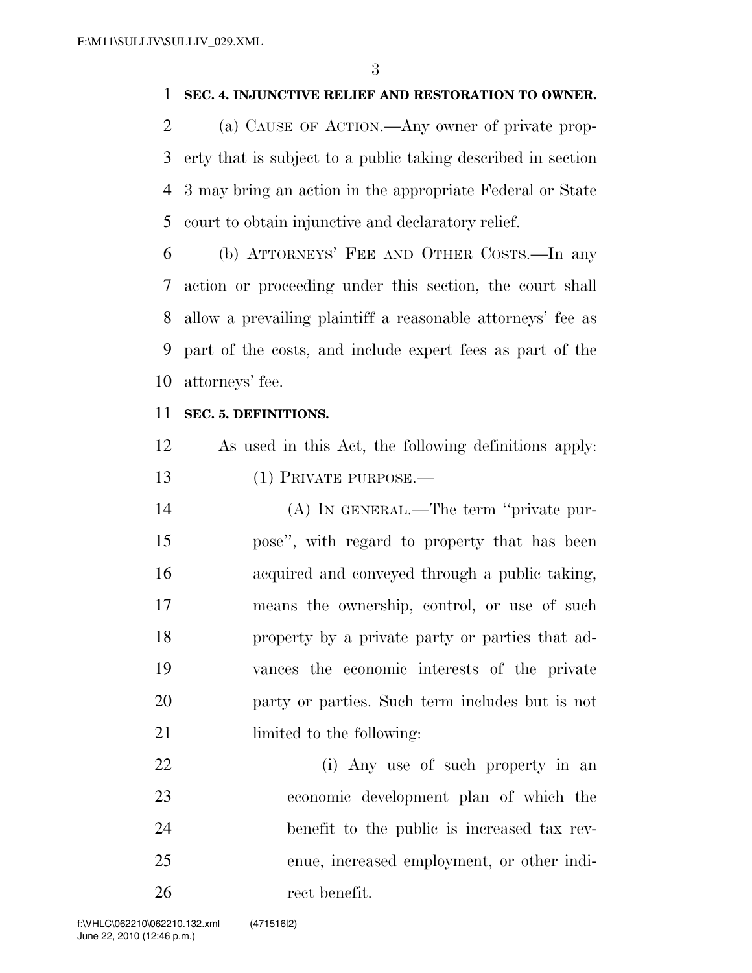#### **SEC. 4. INJUNCTIVE RELIEF AND RESTORATION TO OWNER.**

 (a) CAUSE OF ACTION.—Any owner of private prop- erty that is subject to a public taking described in section 3 may bring an action in the appropriate Federal or State court to obtain injunctive and declaratory relief.

 (b) ATTORNEYS' FEE AND OTHER COSTS.—In any action or proceeding under this section, the court shall allow a prevailing plaintiff a reasonable attorneys' fee as part of the costs, and include expert fees as part of the attorneys' fee.

#### **SEC. 5. DEFINITIONS.**

 As used in this Act, the following definitions apply: 13 (1) PRIVATE PURPOSE.—

 (A) IN GENERAL.—The term ''private pur- pose'', with regard to property that has been acquired and conveyed through a public taking, means the ownership, control, or use of such property by a private party or parties that ad- vances the economic interests of the private party or parties. Such term includes but is not 21 limited to the following:

 (i) Any use of such property in an economic development plan of which the benefit to the public is increased tax rev- enue, increased employment, or other indi-rect benefit.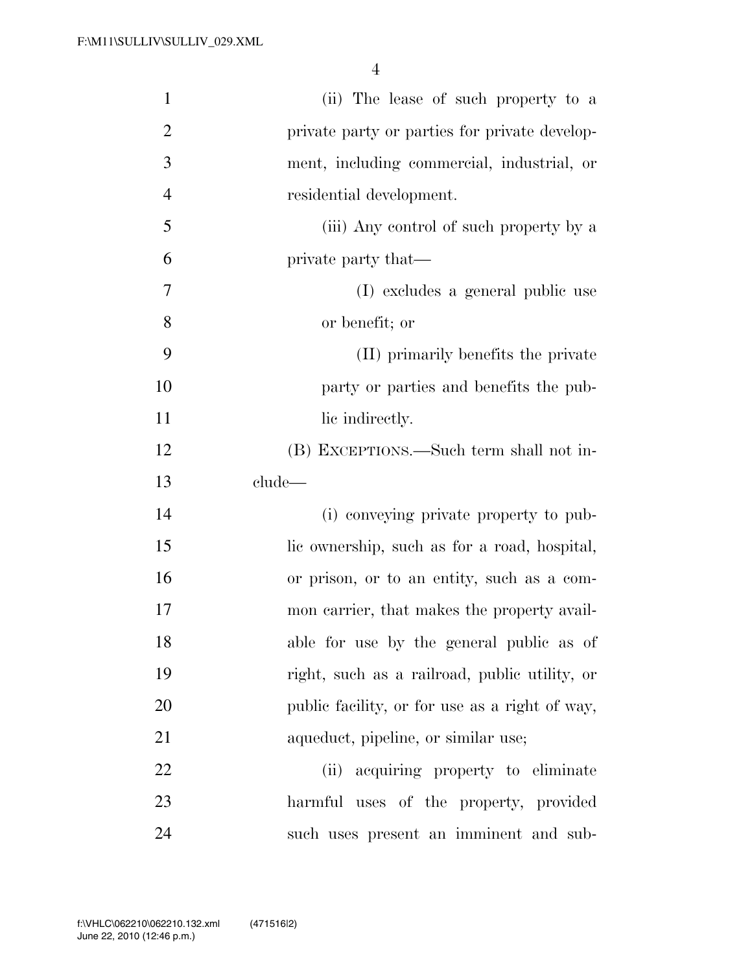| $\mathbf{1}$   | (ii) The lease of such property to a           |
|----------------|------------------------------------------------|
| $\overline{2}$ | private party or parties for private develop-  |
| 3              | ment, including commercial, industrial, or     |
| $\overline{4}$ | residential development.                       |
| 5              | (iii) Any control of such property by a        |
| 6              | private party that—                            |
| $\overline{7}$ | (I) excludes a general public use              |
| 8              | or benefit; or                                 |
| 9              | (II) primarily benefits the private            |
| 10             | party or parties and benefits the pub-         |
| 11             | lic indirectly.                                |
| 12             | (B) EXCEPTIONS.—Such term shall not in-        |
| 13             | clude                                          |
| 14             | (i) conveying private property to pub-         |
|                |                                                |
| 15             | lic ownership, such as for a road, hospital,   |
| 16             | or prison, or to an entity, such as a com-     |
| 17             | mon carrier, that makes the property avail-    |
| 18             | able for use by the general public as of       |
| 19             | right, such as a railroad, public utility, or  |
| 20             | public facility, or for use as a right of way, |
| 21             | aqueduct, pipeline, or similar use;            |
| 22             | (ii) acquiring property to eliminate           |
| 23             | harmful uses of the property, provided         |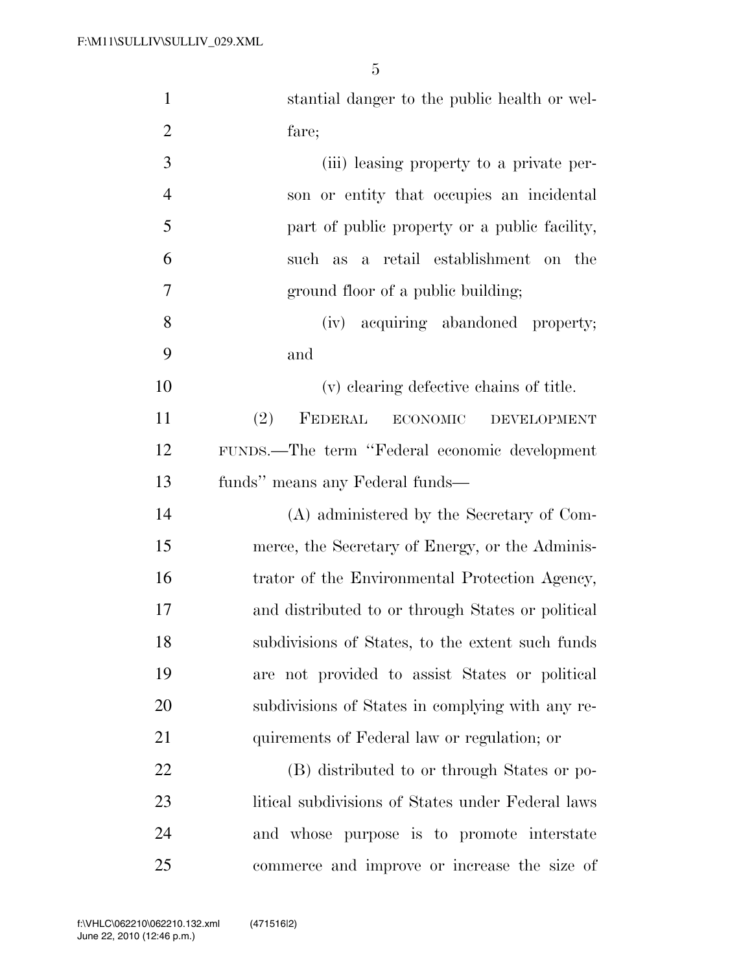| $\mathbf{1}$   | stantial danger to the public health or wel-      |
|----------------|---------------------------------------------------|
| $\overline{2}$ | fare;                                             |
| 3              | (iii) leasing property to a private per-          |
| $\overline{4}$ | son or entity that occupies an incidental         |
| 5              | part of public property or a public facility,     |
| 6              | such as a retail establishment on the             |
| 7              | ground floor of a public building;                |
| 8              | (iv) acquiring abandoned property;                |
| 9              | and                                               |
| 10             | (v) clearing defective chains of title.           |
| 11             | (2)<br>FEDERAL<br>ECONOMIC<br><b>DEVELOPMENT</b>  |
| 12             | FUNDS.—The term "Federal economic development     |
| 13             | funds" means any Federal funds—                   |
| 14             | (A) administered by the Secretary of Com-         |
| 15             | merce, the Secretary of Energy, or the Adminis-   |
| 16             | trator of the Environmental Protection Agency,    |
| 17             | and distributed to or through States or political |
| 18             | subdivisions of States, to the extent such funds  |
| 19             | are not provided to assist States or political    |
| 20             | subdivisions of States in complying with any re-  |
| 21             | quirements of Federal law or regulation; or       |
| 22             | (B) distributed to or through States or po-       |
| 23             | litical subdivisions of States under Federal laws |
| 24             | and whose purpose is to promote interstate        |
| 25             | commerce and improve or increase the size of      |